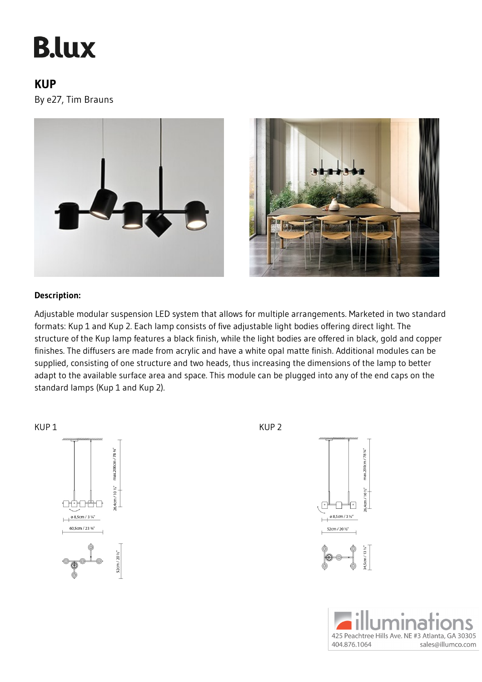## **B.lux**

## **KUP**

By e27, Tim Brauns





## **Description:**

Adjustable modular suspension LED system that allows for multiple arrangements. Marketed in two standard formats: Kup 1 and Kup 2. Each lamp consists of five adjustable light bodies offering direct light. The structure of the Kup lamp features a black finish, while the light bodies are offered in black, gold and copper finishes. The diffusers are made from acrylic and have a white opal matte finish. Additional modules can be supplied, consisting of one structure and two heads, thus increasing the dimensions of the lamp to better adapt to the available surface area and space. This module can be plugged into any of the end caps on the standard lamps (Kup 1 and Kup 2).